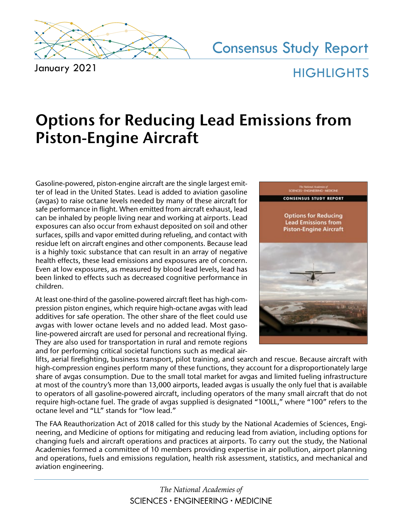

January 2021

# Consensus Study Report **HIGHLIGHTS**

## **Options for Reducing Lead Emissions from Piston-Engine Aircraft**

Gasoline-powered, piston-engine aircraft are the single largest emitter of lead in the United States. Lead is added to aviation gasoline (avgas) to raise octane levels needed by many of these aircraft for safe performance in flight. When emitted from aircraft exhaust, lead can be inhaled by people living near and working at airports. Lead exposures can also occur from exhaust deposited on soil and other surfaces, spills and vapor emitted during refueling, and contact with residue left on aircraft engines and other components. Because lead is a highly toxic substance that can result in an array of negative health effects, these lead emissions and exposures are of concern. Even at low exposures, as measured by blood lead levels, lead has been linked to effects such as decreased cognitive performance in children.

At least one-third of the gasoline-powered aircraft fleet has high-compression piston engines, which require high-octane avgas with lead additives for safe operation. The other share of the fleet could use avgas with lower octane levels and no added lead. Most gasoline-powered aircraft are used for personal and recreational flying. They are also used for transportation in rural and remote regions and for performing critical societal functions such as medical air-



lifts, aerial firefighting, business transport, pilot training, and search and rescue. Because aircraft with high-compression engines perform many of these functions, they account for a disproportionately large share of avgas consumption. Due to the small total market for avgas and limited fueling infrastructure at most of the country's more than 13,000 airports, leaded avgas is usually the only fuel that is available to operators of all gasoline-powered aircraft, including operators of the many small aircraft that do not require high-octane fuel. The grade of avgas supplied is designated "100LL," where "100" refers to the octane level and "LL" stands for "low lead."

The FAA Reauthorization Act of 2018 called for this study by the National Academies of Sciences, Engineering, and Medicine of options for mitigating and reducing lead from aviation, including options for changing fuels and aircraft operations and practices at airports. To carry out the study, the National Academies formed a committee of 10 members providing expertise in air pollution, airport planning and operations, fuels and emissions regulation, health risk assessment, statistics, and mechanical and aviation engineering.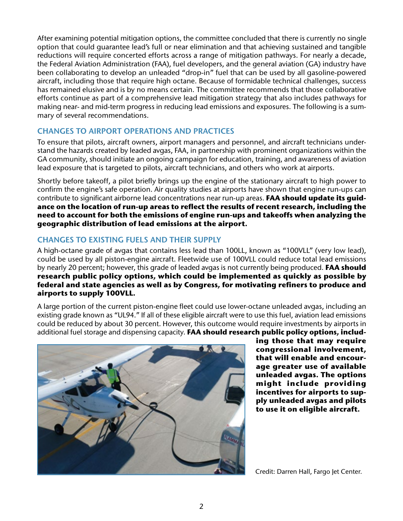After examining potential mitigation options, the committee concluded that there is currently no single option that could guarantee lead's full or near elimination and that achieving sustained and tangible reductions will require concerted efforts across a range of mitigation pathways. For nearly a decade, the Federal Aviation Administration (FAA), fuel developers, and the general aviation (GA) industry have been collaborating to develop an unleaded "drop-in" fuel that can be used by all gasoline-powered aircraft, including those that require high octane. Because of formidable technical challenges, success has remained elusive and is by no means certain. The committee recommends that those collaborative efforts continue as part of a comprehensive lead mitigation strategy that also includes pathways for making near- and mid-term progress in reducing lead emissions and exposures. The following is a summary of several recommendations.

### **CHANGES TO AIRPORT OPERATIONS AND PRACTICES**

To ensure that pilots, aircraft owners, airport managers and personnel, and aircraft technicians understand the hazards created by leaded avgas, FAA, in partnership with prominent organizations within the GA community, should initiate an ongoing campaign for education, training, and awareness of aviation lead exposure that is targeted to pilots, aircraft technicians, and others who work at airports.

Shortly before takeoff, a pilot briefly brings up the engine of the stationary aircraft to high power to confirm the engine's safe operation. Air quality studies at airports have shown that engine run-ups can contribute to significant airborne lead concentrations near run-up areas. **FAA should update its guidance on the location of run-up areas to reflect the results of recent research, including the need to account for both the emissions of engine run-ups and takeoffs when analyzing the geographic distribution of lead emissions at the airport.**

### **CHANGES TO EXISTING FUELS AND THEIR SUPPLY**

A high-octane grade of avgas that contains less lead than 100LL, known as "100VLL" (very low lead), could be used by all piston-engine aircraft. Fleetwide use of 100VLL could reduce total lead emissions by nearly 20 percent; however, this grade of leaded avgas is not currently being produced. **FAA should research public policy options, which could be implemented as quickly as possible by federal and state agencies as well as by Congress, for motivating refiners to produce and airports to supply 100VLL.**

A large portion of the current piston-engine fleet could use lower-octane unleaded avgas, including an existing grade known as "UL94." If all of these eligible aircraft were to use this fuel, aviation lead emissions could be reduced by about 30 percent. However, this outcome would require investments by airports in additional fuel storage and dispensing capacity. **FAA should research public policy options, includ-**



**ing those that may require congressional involvement, that will enable and encourage greater use of available unleaded avgas. The options might include providing incentives for airports to supply unleaded avgas and pilots to use it on eligible aircraft.** 

Credit: Darren Hall, Fargo Jet Center.